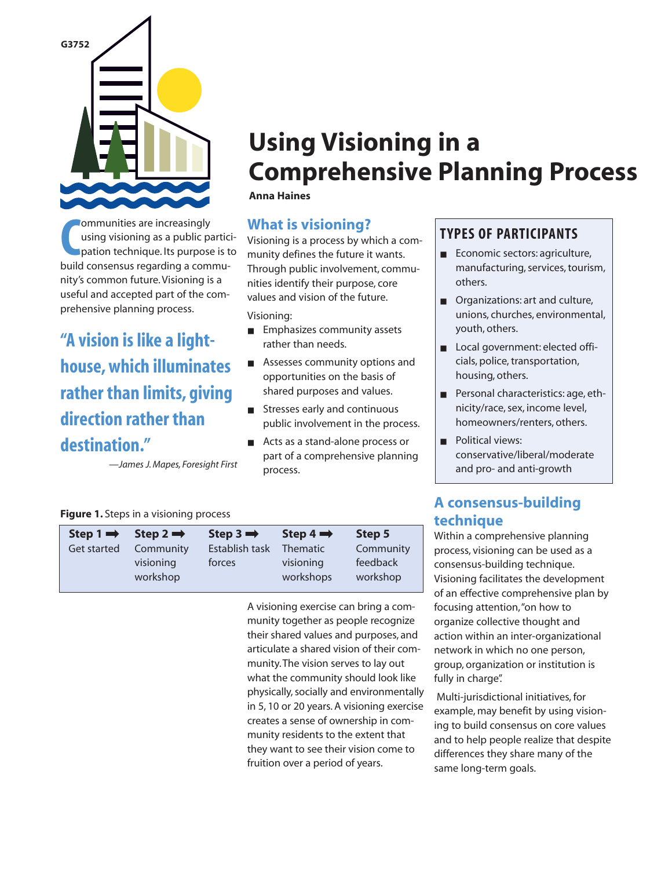

**C** build consensus regarding a commuommunities are increasingly using visioning as a public participation technique. Its purpose is to nity's common future. Visioning is a useful and accepted part of the comprehensive planning process.

**"A vision is like a lighthouse, which illuminates rather than limits, giving direction rather than destination."**

*—James J. Mapes, Foresight First*

# **Using Visioning in a Comprehensive Planning Process**

**Anna Haines**

# **What is visioning?**

Visioning is a process by which a community defines the future it wants. Through public involvement, communities identify their purpose, core values and vision of the future.

Visioning:

- Emphasizes community assets rather than needs.
- Assesses community options and opportunities on the basis of shared purposes and values.
- Stresses early and continuous public involvement in the process.
- Acts as a stand-alone process or part of a comprehensive planning process.

# **TYPES OF PARTICIPANTS**

- Economic sectors: agriculture, manufacturing, services, tourism, others.
- Organizations: art and culture, unions, churches, environmental, youth, others.
- Local government: elected officials, police, transportation, housing, others.
- Personal characteristics: age, ethnicity/race, sex, income level, homeowners/renters, others.
- Political views: conservative/liberal/moderate and pro- and anti-growth

# **A consensus-building technique**

Within a comprehensive planning process, visioning can be used as a consensus-building technique. Visioning facilitates the development of an effective comprehensive plan by focusing attention,"on how to organize collective thought and action within an inter-organizational network in which no one person, group, organization or institution is fully in charge".

Multi-jurisdictional initiatives, for example, may benefit by using visioning to build consensus on core values and to help people realize that despite differences they share many of the same long-term goals.

## **Figure 1.** Steps in a visioning process

| Step $1 \Rightarrow$ | Step 2 $\Rightarrow$  | Step $3 \implies$ | Step $4 \implies$      | Step 5               |
|----------------------|-----------------------|-------------------|------------------------|----------------------|
| Get started          | Community             | Establish task    | <b>Thematic</b>        | Community            |
|                      | visioning<br>workshop | forces            | visioning<br>workshops | feedback<br>workshop |

A visioning exercise can bring a community together as people recognize their shared values and purposes, and articulate a shared vision of their community. The vision serves to lay out what the community should look like physically, socially and environmentally in 5, 10 or 20 years. A visioning exercise creates a sense of ownership in community residents to the extent that they want to see their vision come to fruition over a period of years.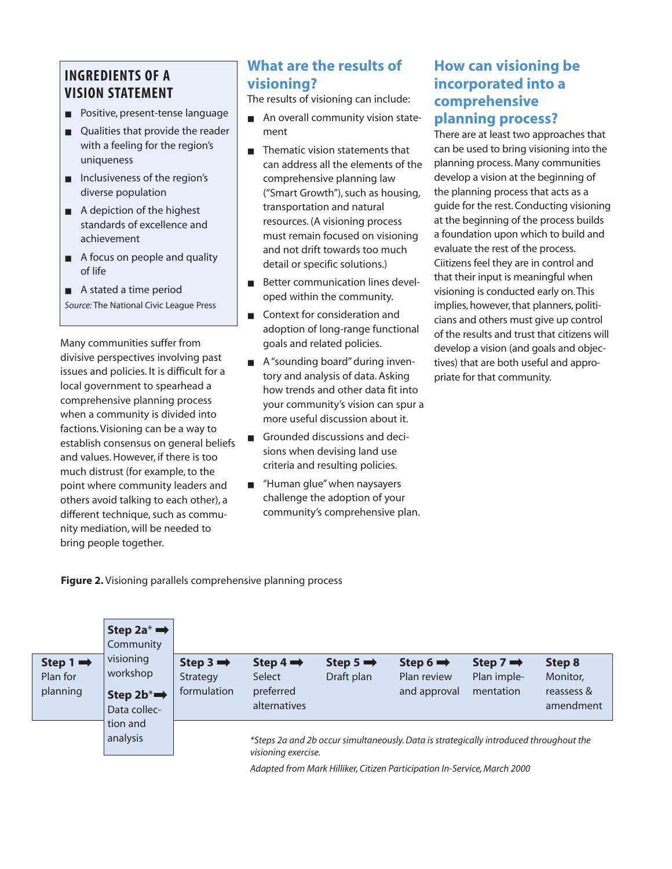# **INGREDIENTS OF A VISION STATEMENT**

- Positive, present-tense language
- Qualities that provide the reader with a feeling for the region's uniqueness
- Inclusiveness of the region's diverse population
- A depiction of the highest standards of excellence and achievement
- A focus on people and quality of life
- A stated a time period
- *Source:* The National Civic League Press

Many communities suffer from divisive perspectives involving past issues and policies. It is difficult for a local government to spearhead a comprehensive planning process when a community is divided into factions. Visioning can be a way to establish consensus on general beliefs and values. However, if there is too much distrust (for example, to the point where community leaders and others avoid talking to each other), a different technique, such as community mediation, will be needed to bring people together.

# **What are the results of visioning?**

The results of visioning can include:

- An overall community vision statement
- Thematic vision statements that can address all the elements of the comprehensive planning law ("Smart Growth"), such as housing, transportation and natural resources. (A visioning process must remain focused on visioning and not drift towards too much detail or specific solutions.)
- Better communication lines developed within the community.
- Context for consideration and adoption of long-range functional goals and related policies.
- A "sounding board" during inventory and analysis of data. Asking how trends and other data fit into your community's vision can spur a more useful discussion about it.
- Grounded discussions and decisions when devising land use criteria and resulting policies.
- "Human glue" when naysayers challenge the adoption of your community's comprehensive plan.

## **How can visioning be incorporated into a comprehensive planning process?**

There are at least two approaches that can be used to bring visioning into the planning process. Many communities develop a vision at the beginning of the planning process that acts as a guide for the rest. Conducting visioning at the beginning of the process builds a foundation upon which to build and evaluate the rest of the process. Ciitizens feel they are in control and that their input is meaningful when visioning is conducted early on.This implies, however, that planners, politicians and others must give up control of the results and trust that citizens will develop a vision (and goals and objectives) that are both useful and appropriate for that community.

|  | Figure 2. Visioning parallels comprehensive planning process |  |
|--|--------------------------------------------------------------|--|
|  |                                                              |  |

|                                              | Step $2a^* \rightarrow$<br>Community                 |                                                 |                                                             |                                                                                                                                                                                                                                                     |                                       |                                                  |                                               |
|----------------------------------------------|------------------------------------------------------|-------------------------------------------------|-------------------------------------------------------------|-----------------------------------------------------------------------------------------------------------------------------------------------------------------------------------------------------------------------------------------------------|---------------------------------------|--------------------------------------------------|-----------------------------------------------|
| Step $1 \Rightarrow$<br>Plan for<br>planning | visioning<br>workshop<br>Step $2b^*$<br>Data collec- | Step $3 \Rightarrow$<br>Strategy<br>formulation | Step $4 \Rightarrow$<br>Select<br>preferred<br>alternatives | Step 5<br>Draft plan                                                                                                                                                                                                                                | Step 6<br>Plan review<br>and approval | Step $7 \Rightarrow$<br>Plan imple-<br>mentation | Step 8<br>Monitor,<br>reassess &<br>amendment |
|                                              | tion and<br>analysis                                 |                                                 | visioning exercise.                                         | *Steps 2a and 2b occur simultaneously. Data is strategically introduced throughout the<br>$\mathcal{L}$ , and $\mathcal{L}$ , and $\mathcal{L}$ , and $\mathcal{L}$ , and $\mathcal{L}$ , and $\mathcal{L}$ , and $\mathcal{L}$ , and $\mathcal{L}$ |                                       |                                                  |                                               |

*Adapted from Mark Hilliker, Citizen Participation In-Service, March 2000*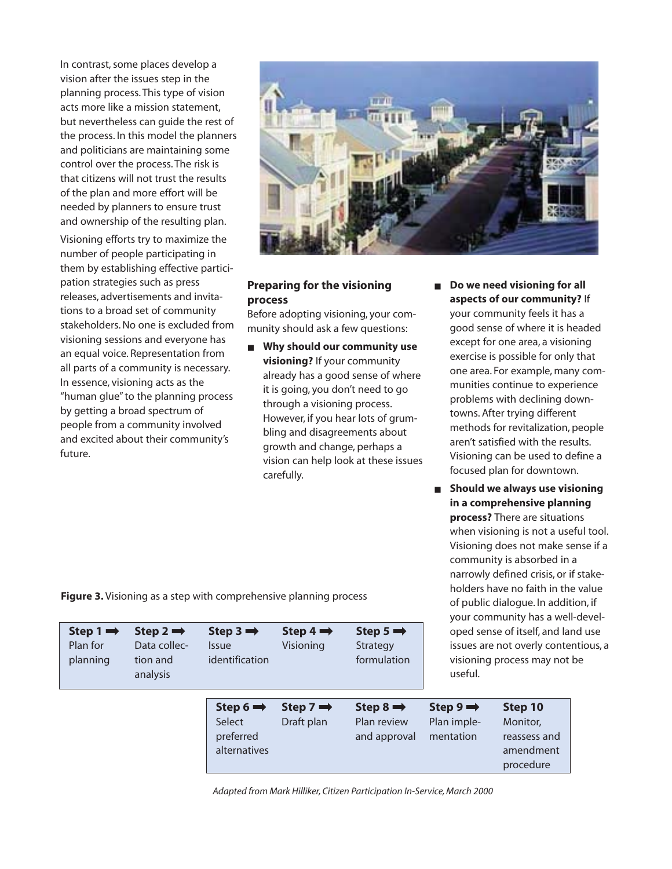In contrast, some places develop a vision after the issues step in the planning process. This type of vision acts more like a mission statement, but nevertheless can guide the rest of the process. In this model the planners and politicians are maintaining some control over the process. The risk is that citizens will not trust the results of the plan and more effort will be needed by planners to ensure trust and ownership of the resulting plan.

Visioning efforts try to maximize the number of people participating in them by establishing effective participation strategies such as press releases, advertisements and invitations to a broad set of community stakeholders. No one is excluded from visioning sessions and everyone has an equal voice. Representation from all parts of a community is necessary. In essence, visioning acts as the "human glue" to the planning process by getting a broad spectrum of people from a community involved and excited about their community's future.



#### **Preparing for the visioning process**

Before adopting visioning, your community should ask a few questions:

- **Why should our community use visioning?** If your community already has a good sense of where it is going, you don't need to go through a visioning process. However, if you hear lots of grumbling and disagreements about growth and change, perhaps a vision can help look at these issues carefully.
- **Do we need visioning for all aspects of our community?** If your community feels it has a good sense of where it is headed except for one area, a visioning exercise is possible for only that one area. For example, many communities continue to experience problems with declining downtowns. After trying different methods for revitalization, people aren't satisfied with the results. Visioning can be used to define a focused plan for downtown.
- **Should we always use visioning in a comprehensive planning process?** There are situations when visioning is not a useful tool. Visioning does not make sense if a community is absorbed in a narrowly defined crisis, or if stakeholders have no faith in the value of public dialogue. In addition, if munity has a well-develland use tentious, a ot be

**Figure 3.** Visioning as a step with comprehensive planning process

| Step $1 \Rightarrow$<br>Plan for<br>planning | Step $2 \implies$<br>Data collec-<br>tion and<br>analysis | Step $3 \Rightarrow$<br><b>Issue</b><br>identification      | Step $4 \Rightarrow$<br>Visioning  | Step $5 \Rightarrow$<br>Strategy<br>formulation | useful.                                          | your community has a w<br>oped sense of itself, and<br>issues are not overly con<br>visioning process may no |
|----------------------------------------------|-----------------------------------------------------------|-------------------------------------------------------------|------------------------------------|-------------------------------------------------|--------------------------------------------------|--------------------------------------------------------------------------------------------------------------|
|                                              |                                                           | Step $6 \Rightarrow$<br>Select<br>preferred<br>alternatives | Step $7 \rightarrow$<br>Draft plan | Step 8<br>Plan review<br>and approval           | Step $9 \Rightarrow$<br>Plan imple-<br>mentation | Step 10<br>Monitor,<br>reassess and<br>amendment<br>procedure                                                |

*Adapted from Mark Hilliker, Citizen Participation In-Service, March 2000*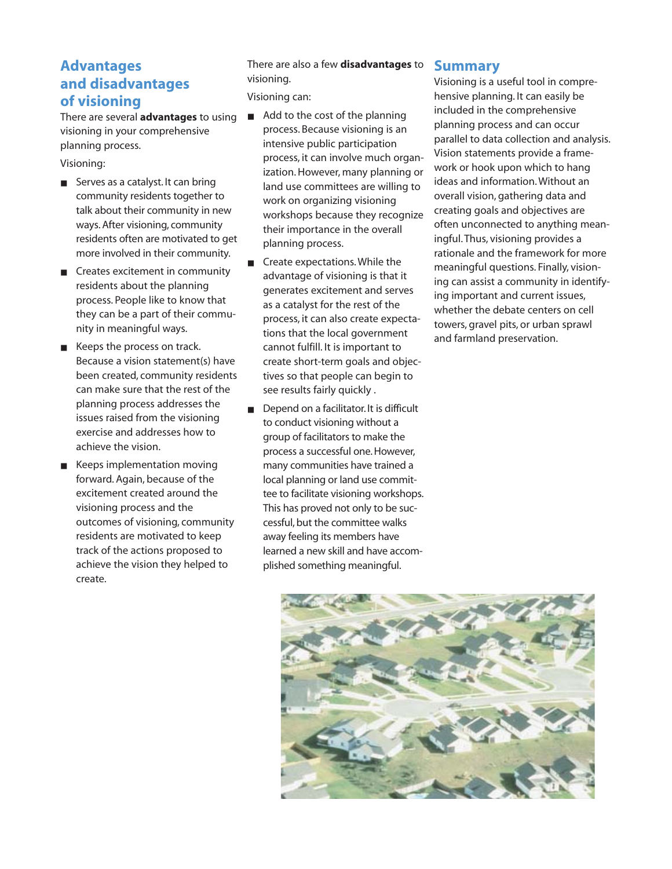## **Advantages and disadvantages of visioning**

There are several **advantages** to using visioning in your comprehensive planning process.

Visioning:

- Serves as a catalyst. It can bring community residents together to talk about their community in new ways. After visioning, community residents often are motivated to get more involved in their community.
- Creates excitement in community residents about the planning process. People like to know that they can be a part of their community in meaningful ways.
- Keeps the process on track. Because a vision statement(s) have been created, community residents can make sure that the rest of the planning process addresses the issues raised from the visioning exercise and addresses how to achieve the vision.
- Keeps implementation moving forward. Again, because of the excitement created around the visioning process and the outcomes of visioning, community residents are motivated to keep track of the actions proposed to achieve the vision they helped to create.

There are also a few **disadvantages** to visioning.

Visioning can:

- Add to the cost of the planning process. Because visioning is an intensive public participation process, it can involve much organization. However, many planning or land use committees are willing to work on organizing visioning workshops because they recognize their importance in the overall planning process.
- Create expectations. While the advantage of visioning is that it generates excitement and serves as a catalyst for the rest of the process, it can also create expectations that the local government cannot fulfill. It is important to create short-term goals and objectives so that people can begin to see results fairly quickly .
- Depend on a facilitator. It is difficult to conduct visioning without a group of facilitators to make the process a successful one. However, many communities have trained a local planning or land use committee to facilitate visioning workshops. This has proved not only to be successful, but the committee walks away feeling its members have learned a new skill and have accomplished something meaningful.

## **Summary**

Visioning is a useful tool in comprehensive planning. It can easily be included in the comprehensive planning process and can occur parallel to data collection and analysis. Vision statements provide a framework or hook upon which to hang ideas and information. Without an overall vision, gathering data and creating goals and objectives are often unconnected to anything meaningful. Thus, visioning provides a rationale and the framework for more meaningful questions. Finally, visioning can assist a community in identifying important and current issues, whether the debate centers on cell towers, gravel pits, or urban sprawl and farmland preservation.

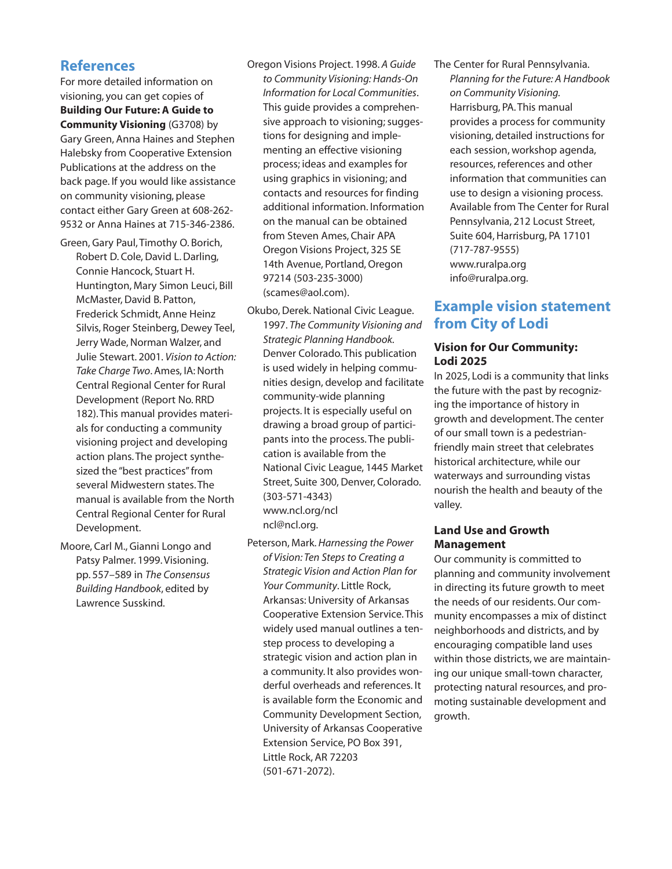## **References**

For more detailed information on visioning, you can get copies of **Building Our Future: A Guide to Community Visioning** (G3708) by Gary Green, Anna Haines and Stephen Halebsky from Cooperative Extension Publications at the address on the back page. If you would like assistance on community visioning, please contact either Gary Green at 608-262- 9532 or Anna Haines at 715-346-2386.

- Green, Gary Paul, Timothy O. Borich, Robert D. Cole, David L. Darling, Connie Hancock, Stuart H. Huntington, Mary Simon Leuci, Bill McMaster, David B. Patton, Frederick Schmidt, Anne Heinz Silvis, Roger Steinberg, Dewey Teel, Jerry Wade, Norman Walzer, and Julie Stewart. 2001. *Vision to Action: Take Charge Two*. Ames, IA: North Central Regional Center for Rural Development (Report No. RRD 182). This manual provides materials for conducting a community visioning project and developing action plans. The project synthesized the "best practices" from several Midwestern states. The manual is available from the North Central Regional Center for Rural Development.
- Moore, Carl M., Gianni Longo and Patsy Palmer. 1999. Visioning. pp. 557–589 in *The Consensus Building Handbook*, edited by Lawrence Susskind.

Oregon Visions Project. 1998. *A Guide to Community Visioning: Hands-On Information for Local Communities*. This guide provides a comprehensive approach to visioning; suggestions for designing and implementing an effective visioning process; ideas and examples for using graphics in visioning; and contacts and resources for finding additional information. Information on the manual can be obtained from Steven Ames, Chair APA Oregon Visions Project, 325 SE 14th Avenue, Portland, Oregon 97214 (503-235-3000) (scames@aol.com).

- Okubo, Derek. National Civic League. 1997. *The Community Visioning and Strategic Planning Handbook.* Denver Colorado. This publication is used widely in helping communities design, develop and facilitate community-wide planning projects. It is especially useful on drawing a broad group of participants into the process. The publication is available from the National Civic League, 1445 Market Street, Suite 300, Denver, Colorado. (303-571-4343) www.ncl.org/ncl ncl@ncl.org.
- Peterson, Mark. *Harnessing the Power of Vision: Ten Steps to Creating a Strategic Vision and Action Plan for Your Community*. Little Rock, Arkansas: University of Arkansas Cooperative Extension Service. This widely used manual outlines a tenstep process to developing a strategic vision and action plan in a community. It also provides wonderful overheads and references. It is available form the Economic and Community Development Section, University of Arkansas Cooperative Extension Service, PO Box 391, Little Rock, AR 72203 (501-671-2072).

The Center for Rural Pennsylvania. *Planning for the Future: A Handbook on Community Visioning.* Harrisburg, PA. This manual provides a process for community visioning, detailed instructions for each session, workshop agenda, resources, references and other information that communities can use to design a visioning process. Available from The Center for Rural Pennsylvania, 212 Locust Street, Suite 604, Harrisburg, PA 17101 (717-787-9555) www.ruralpa.org info@ruralpa.org.

## **Example vision statement from City of Lodi**

## **Vision for Our Community: Lodi 2025**

In 2025, Lodi is a community that links the future with the past by recognizing the importance of history in growth and development. The center of our small town is a pedestrianfriendly main street that celebrates historical architecture, while our waterways and surrounding vistas nourish the health and beauty of the valley.

## **Land Use and Growth Management**

Our community is committed to planning and community involvement in directing its future growth to meet the needs of our residents. Our community encompasses a mix of distinct neighborhoods and districts, and by encouraging compatible land uses within those districts, we are maintaining our unique small-town character, protecting natural resources, and promoting sustainable development and growth.